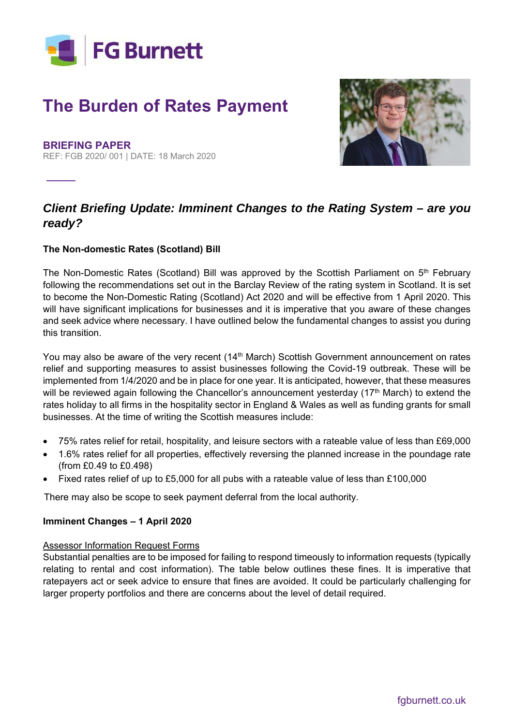

# **The Burden of Rates Payment**

**BRIEFING PAPER** REF: FGB 2020/ 001 | DATE: 18 March 2020



## *Client Briefing Update: Imminent Changes to the Rating System – are you ready?*

#### **The Non-domestic Rates (Scotland) Bill**

The Non-Domestic Rates (Scotland) Bill was approved by the Scottish Parliament on 5<sup>th</sup> February following the recommendations set out in the Barclay Review of the rating system in Scotland. It is set to become the Non-Domestic Rating (Scotland) Act 2020 and will be effective from 1 April 2020. This will have significant implications for businesses and it is imperative that you aware of these changes and seek advice where necessary. I have outlined below the fundamental changes to assist you during this transition.

You may also be aware of the very recent (14<sup>th</sup> March) Scottish Government announcement on rates relief and supporting measures to assist businesses following the Covid-19 outbreak. These will be implemented from 1/4/2020 and be in place for one year. It is anticipated, however, that these measures will be reviewed again following the Chancellor's announcement yesterday (17<sup>th</sup> March) to extend the rates holiday to all firms in the hospitality sector in England & Wales as well as funding grants for small businesses. At the time of writing the Scottish measures include:

- 75% rates relief for retail, hospitality, and leisure sectors with a rateable value of less than £69,000
- 1.6% rates relief for all properties, effectively reversing the planned increase in the poundage rate (from £0.49 to £0.498)
- Fixed rates relief of up to £5,000 for all pubs with a rateable value of less than £100,000

There may also be scope to seek payment deferral from the local authority.

#### **Imminent Changes – 1 April 2020**

#### Assessor Information Request Forms

Substantial penalties are to be imposed for failing to respond timeously to information requests (typically relating to rental and cost information). The table below outlines these fines. It is imperative that ratepayers act or seek advice to ensure that fines are avoided. It could be particularly challenging for larger property portfolios and there are concerns about the level of detail required.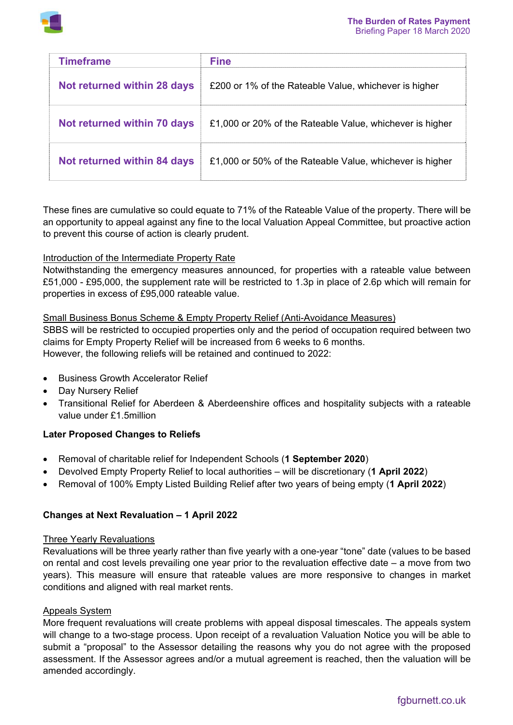

| <b>Timeframe</b>            | <b>Fine</b>                                              |
|-----------------------------|----------------------------------------------------------|
| Not returned within 28 days | £200 or 1% of the Rateable Value, whichever is higher    |
| Not returned within 70 days | £1,000 or 20% of the Rateable Value, whichever is higher |
| Not returned within 84 days | £1,000 or 50% of the Rateable Value, whichever is higher |

These fines are cumulative so could equate to 71% of the Rateable Value of the property. There will be an opportunity to appeal against any fine to the local Valuation Appeal Committee, but proactive action to prevent this course of action is clearly prudent.

#### Introduction of the Intermediate Property Rate

Notwithstanding the emergency measures announced, for properties with a rateable value between £51,000 - £95,000, the supplement rate will be restricted to 1.3p in place of 2.6p which will remain for properties in excess of £95,000 rateable value.

#### Small Business Bonus Scheme & Empty Property Relief (Anti-Avoidance Measures)

SBBS will be restricted to occupied properties only and the period of occupation required between two claims for Empty Property Relief will be increased from 6 weeks to 6 months. However, the following reliefs will be retained and continued to 2022:

- Business Growth Accelerator Relief
- Day Nursery Relief
- Transitional Relief for Aberdeen & Aberdeenshire offices and hospitality subjects with a rateable value under £1.5million

### **Later Proposed Changes to Reliefs**

- Removal of charitable relief for Independent Schools (**1 September 2020**)
- Devolved Empty Property Relief to local authorities will be discretionary (**1 April 2022**)
- Removal of 100% Empty Listed Building Relief after two years of being empty (**1 April 2022**)

#### **Changes at Next Revaluation – 1 April 2022**

#### Three Yearly Revaluations

Revaluations will be three yearly rather than five yearly with a one-year "tone" date (values to be based on rental and cost levels prevailing one year prior to the revaluation effective date – a move from two years). This measure will ensure that rateable values are more responsive to changes in market conditions and aligned with real market rents.

#### Appeals System

More frequent revaluations will create problems with appeal disposal timescales. The appeals system will change to a two-stage process. Upon receipt of a revaluation Valuation Notice you will be able to submit a "proposal" to the Assessor detailing the reasons why you do not agree with the proposed assessment. If the Assessor agrees and/or a mutual agreement is reached, then the valuation will be amended accordingly.